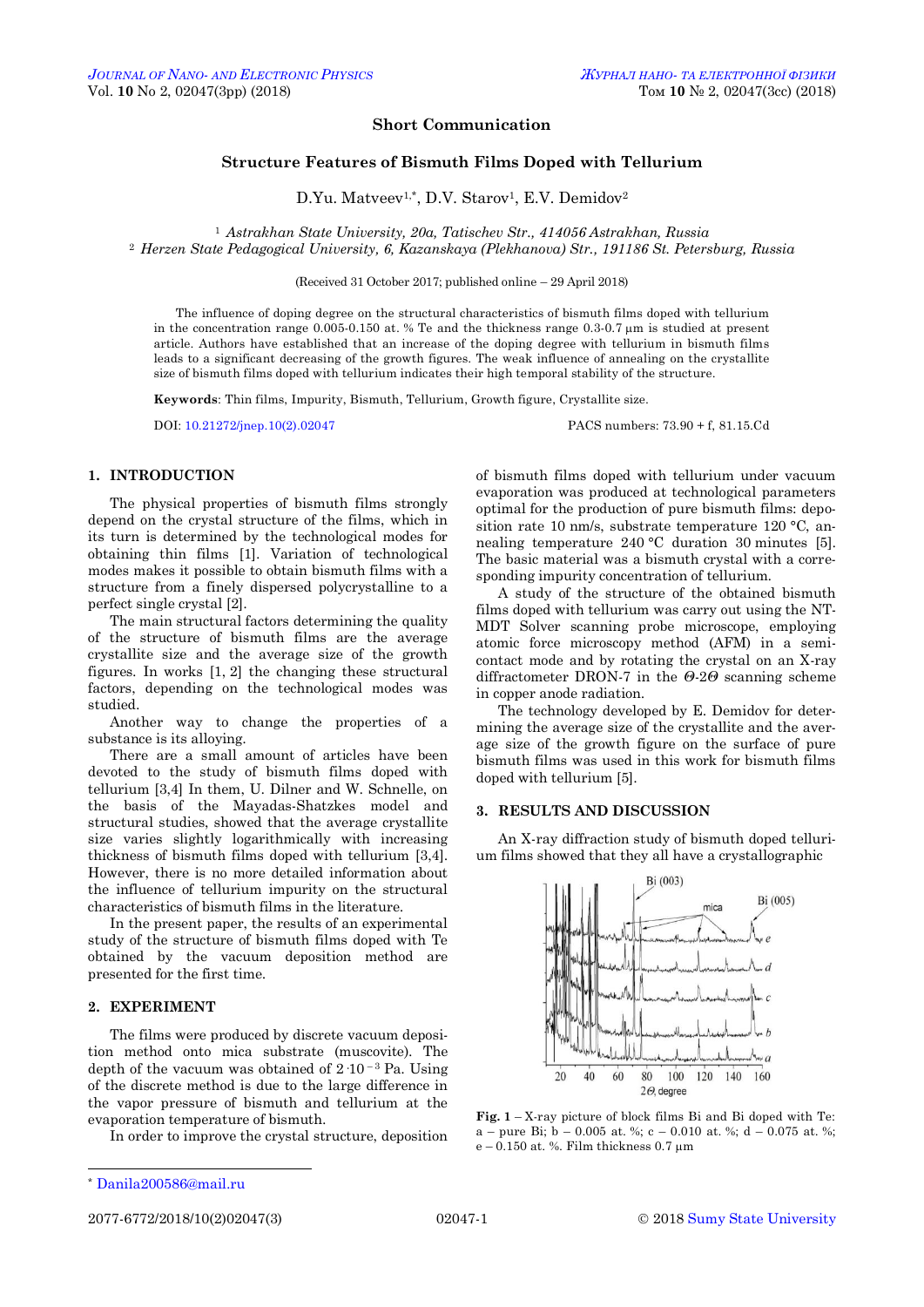## **Short Communication**

# **Structure Features of Bismuth Films Doped with Tellurium**

D.Yu. Matveev<sup>1,\*</sup>, D.V. Starov<sup>1</sup>, E.V. Demidov<sup>2</sup>

<sup>1</sup> *Astrakhan State University, 20a, Tatischev Str., 414056 Astrakhan, Russia* <sup>2</sup> *Herzen State Pedagogical University, 6, Kazanskaya (Plekhanova) Str., 191186 St. Petersburg, Russia*

(Received 31 October 2017; published online – 29 April 2018)

The influence of doping degree on the structural characteristics of bismuth films doped with tellurium in the concentration range  $0.005-0.150$  at. % Te and the thickness range  $0.3-0.7$  µm is studied at present article. Authors have established that an increase of the doping degree with tellurium in bismuth films leads to a significant decreasing of the growth figures. The weak influence of annealing on the crystallite size of bismuth films doped with tellurium indicates their high temporal stability of the structure.

**Keywords**: Thin films, Impurity, Bismuth, Tellurium, Growth figure, Crystallite size.

DOI: [10.21272/jnep.10\(2\).02047](https://doi.org/10.21272/jnep.10(2).02047) PACS numbers: 73.90 + f, 81.15.Cd

# **1. INTRODUCTION**

The physical properties of bismuth films strongly depend on the crystal structure of the films, which in its turn is determined by the technological modes for obtaining thin films [1]. Variation of technological modes makes it possible to obtain bismuth films with a structure from a finely dispersed polycrystalline to a perfect single crystal [2].

The main structural factors determining the quality of the structure of bismuth films are the average crystallite size and the average size of the growth figures. In works [1, 2] the changing these structural factors, depending on the technological modes was studied.

Another way to change the properties of a substance is its alloying.

There are a small amount of articles have been devoted to the study of bismuth films doped with tellurium [3,4] In them, U. Dilner and W. Schnelle, on the basis of the Mayadas-Shatzkes model and structural studies, showed that the average crystallite size varies slightly logarithmically with increasing thickness of bismuth films doped with tellurium [3,4]. However, there is no more detailed information about the influence of tellurium impurity on the structural characteristics of bismuth films in the literature.

In the present paper, the results of an experimental study of the structure of bismuth films doped with Te obtained by the vacuum deposition method are presented for the first time.

#### **2. EXPERIMENT**

The films were produced by discrete vacuum deposition method onto mica substrate (muscovite). The depth of the vacuum was obtained of  $2 \cdot 10^{-3}$  Pa. Using of the discrete method is due to the large difference in the vapor pressure of bismuth and tellurium at the evaporation temperature of bismuth.

In order to improve the crystal structure, deposition

A study of the structure of the obtained bismuth films doped with tellurium was carry out using the NT-MDT Solver scanning probe microscope, employing atomic force microscopy method (AFM) in a semicontact mode and by rotating the crystal on an X-ray diffractometer DRON-7 in the *Θ*-2*Θ* scanning scheme in copper anode radiation.

The technology developed by E. Demidov for determining the average size of the crystallite and the average size of the growth figure on the surface of pure bismuth films was used in this work for bismuth films doped with tellurium [5].

### **3. RESULTS AND DISCUSSION**

An X-ray diffraction study of bismuth doped tellurium films showed that they all have a crystallographic



**Fig. 1** – X-ray picture of block films Bi and Bi doped with Te: a – pure Bi; b – 0.005 at. %; c – 0.010 at. %; d – 0.075 at. %; e – 0.150 at. %. Film thickness 0.7  $\mu$ m

 $\overline{a}$ 

<span id="page-0-3"></span><span id="page-0-2"></span><span id="page-0-1"></span><span id="page-0-0"></span>

of bismuth films doped with tellurium under vacuum evaporation was produced at technological parameters optimal for the production of pure bismuth films: deposition rate 10 nm/s, substrate temperature 120 °С, annealing temperature 240 °С duration 30 minutes [5]. The basic material was a bismuth crystal with a corresponding impurity concentration of tellurium.

<sup>\*</sup> [Danila200586@mail.ru](mailto:Danila200586@mail.ru)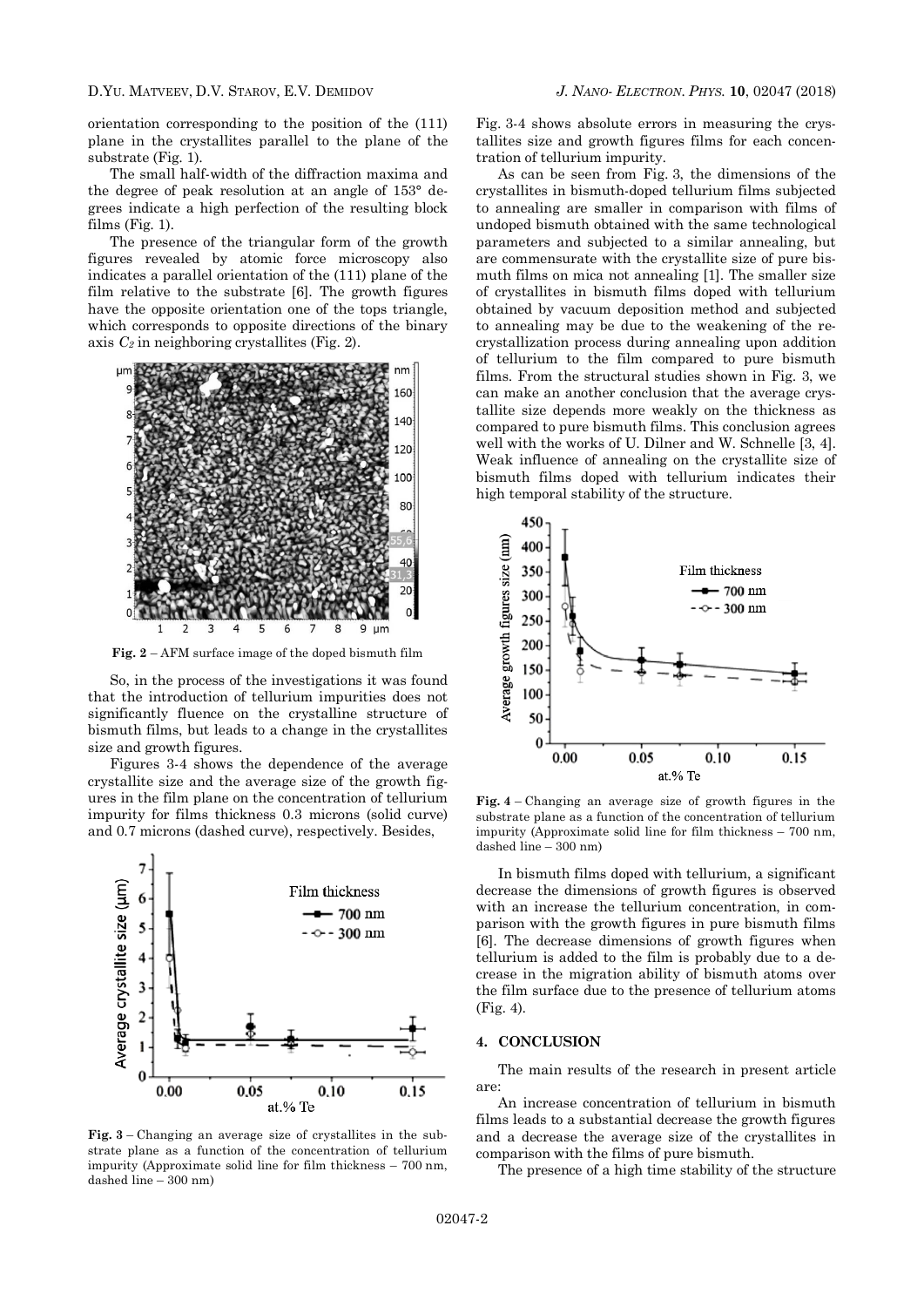D.YU. MATVEEV, D.V. STAROV, E.V. DEMIDOV *J. NANO- ELECTRON. PHYS.* **[10](#page-0-2)**, [02047](#page-0-2) [\(2018\)](#page-0-2)

orientation corresponding to the position of the (111) plane in the crystallites parallel to the plane of the substrate (Fig. 1).

The small half-width of the diffraction maxima and the degree of peak resolution at an angle of 153° degrees indicate a high perfection of the resulting block films (Fig. 1).

The presence of the triangular form of the growth figures revealed by atomic force microscopy also indicates a parallel orientation of the (111) plane of the film relative to the substrate [6]. The growth figures have the opposite orientation one of the tops triangle, which corresponds to opposite directions of the binary axis *C<sup>2</sup>* in neighboring crystallites (Fig. 2).



**Fig. 2** – AFM surface image of the doped bismuth film

So, in the process of the investigations it was found that the introduction of tellurium impurities does not significantly fluence on the crystalline structure of bismuth films, but leads to a change in the crystallites size and growth figures.

Figures 3-4 shows the dependence of the average crystallite size and the average size of the growth figures in the film plane on the concentration of tellurium impurity for films thickness 0.3 microns (solid curve) and 0.7 microns (dashed curve), respectively. Besides,



**Fig. 3** – Changing an average size of crystallites in the substrate plane as a function of the concentration of tellurium impurity (Approximate solid line for film thickness – 700 nm, dashed line – 300 nm)

Fig. 3-4 shows absolute errors in measuring the crystallites size and growth figures films for each concentration of tellurium impurity.

As can be seen from Fig. 3, the dimensions of the crystallites in bismuth-doped tellurium films subjected to annealing are smaller in comparison with films of undoped bismuth obtained with the same technological parameters and subjected to a similar annealing, but are commensurate with the crystallite size of pure bismuth films on mica not annealing [1]. The smaller size of crystallites in bismuth films doped with tellurium obtained by vacuum deposition method and subjected to annealing may be due to the weakening of the recrystallization process during annealing upon addition of tellurium to the film compared to pure bismuth films. From the structural studies shown in Fig. 3, we can make an another conclusion that the average crystallite size depends more weakly on the thickness as compared to pure bismuth films. This conclusion agrees well with the works of U. Dilner and W. Schnelle [3, 4]. Weak influence of annealing on the crystallite size of bismuth films doped with tellurium indicates their high temporal stability of the structure.



**Fig. 4** – Changing an average size of growth figures in the substrate plane as a function of the concentration of tellurium impurity (Approximate solid line for film thickness – 700 nm, dashed line – 300 nm)

In bismuth films doped with tellurium, a significant decrease the dimensions of growth figures is observed with an increase the tellurium concentration, in comparison with the growth figures in pure bismuth films [6]. The decrease dimensions of growth figures when tellurium is added to the film is probably due to a decrease in the migration ability of bismuth atoms over the film surface due to the presence of tellurium atoms (Fig. 4).

#### **4. CONCLUSION**

The main results of the research in present article are:

An increase concentration of tellurium in bismuth films leads to a substantial decrease the growth figures and a decrease the average size of the crystallites in comparison with the films of pure bismuth.

The presence of a high time stability of the structure